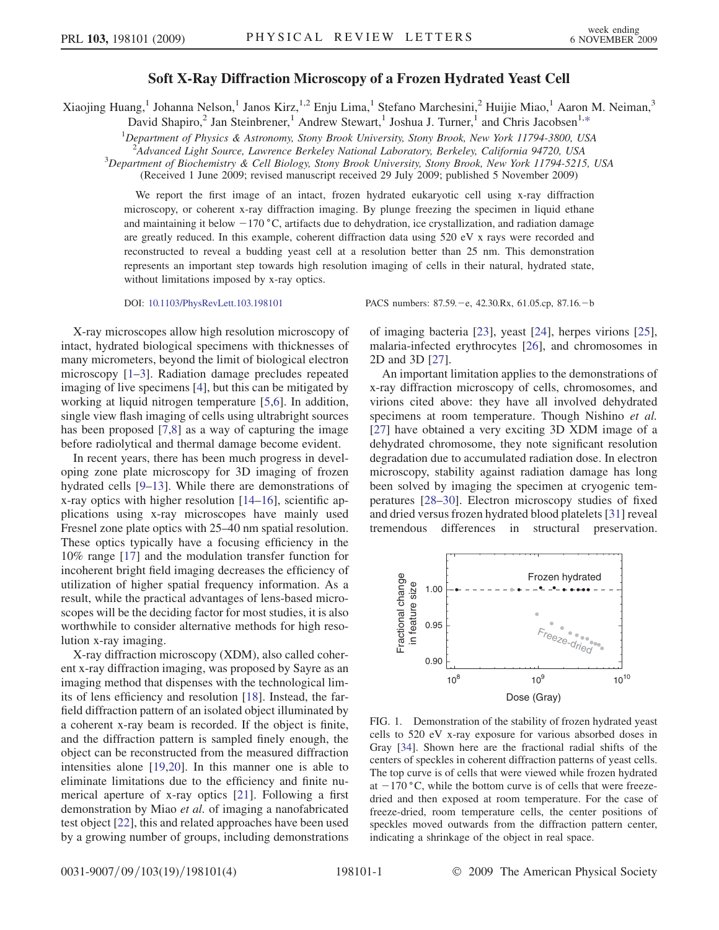## Soft X-Ray Diffraction Microscopy of a Frozen Hydrated Yeast Cell

<span id="page-0-1"></span>Xiaojing Huang,<sup>1</sup> Johanna Nelson,<sup>1</sup> Janos Kirz,<sup>1,2</sup> Enju Lima,<sup>1</sup> Stefano Marchesini,<sup>2</sup> Huijie Miao,<sup>1</sup> Aaron M. Neiman,<sup>3</sup>

David Shapiro,<sup>2</sup> Jan Steinbrener,<sup>1</sup> Andrew Stewart,<sup>1</sup> Joshua J. Turner,<sup>1</sup> and Chris Jacobsen<sup>1,[\\*](#page-3-0)</sup>

<sup>1</sup>Department of Physics & Astronomy, Stony Brook University, Stony Brook, New York 11794-3800, USA

<sup>2</sup>Advanced Light Source, Lawrence Berkeley National Laboratory, Berkeley, California 94720, USA<br><sup>3</sup>Department of Biochamistry, *k. Cell Biology, Stomy Brook University, Stomy Brook, New York 11794 5215* 

 $3$ Department of Biochemistry & Cell Biology, Stony Brook University, Stony Brook, New York 11794-5215, USA

(Received 1 June 2009; revised manuscript received 29 July 2009; published 5 November 2009)

We report the first image of an intact, frozen hydrated eukaryotic cell using x-ray diffraction microscopy, or coherent x-ray diffraction imaging. By plunge freezing the specimen in liquid ethane and maintaining it below  $-170$  °C, artifacts due to dehydration, ice crystallization, and radiation damage are greatly reduced. In this example, coherent diffraction data using 520 eV x rays were recorded and reconstructed to reveal a budding yeast cell at a resolution better than 25 nm. This demonstration represents an important step towards high resolution imaging of cells in their natural, hydrated state, without limitations imposed by x-ray optics.

DOI: [10.1103/PhysRevLett.103.198101](http://dx.doi.org/10.1103/PhysRevLett.103.198101) PACS numbers: 87.59. - e, 42.30.Rx, 61.05.cp, 87.16. - b

X-ray microscopes allow high resolution microscopy of intact, hydrated biological specimens with thicknesses of many micrometers, beyond the limit of biological electron microscopy [[1](#page-3-1)[–3](#page-3-2)]. Radiation damage precludes repeated imaging of live specimens [[4\]](#page-3-3), but this can be mitigated by working at liquid nitrogen temperature [\[5](#page-3-4),[6](#page-3-5)]. In addition, single view flash imaging of cells using ultrabright sources has been proposed [\[7](#page-3-6),[8](#page-3-7)] as a way of capturing the image before radiolytical and thermal damage become evident.

In recent years, there has been much progress in developing zone plate microscopy for 3D imaging of frozen hydrated cells [[9](#page-3-8)[–13\]](#page-3-9). While there are demonstrations of x-ray optics with higher resolution [[14](#page-3-10)[–16\]](#page-3-11), scientific applications using x-ray microscopes have mainly used Fresnel zone plate optics with 25–40 nm spatial resolution. These optics typically have a focusing efficiency in the 10% range [\[17\]](#page-3-12) and the modulation transfer function for incoherent bright field imaging decreases the efficiency of utilization of higher spatial frequency information. As a result, while the practical advantages of lens-based microscopes will be the deciding factor for most studies, it is also worthwhile to consider alternative methods for high resolution x-ray imaging.

X-ray diffraction microscopy (XDM), also called coherent x-ray diffraction imaging, was proposed by Sayre as an imaging method that dispenses with the technological limits of lens efficiency and resolution [[18](#page-3-13)]. Instead, the farfield diffraction pattern of an isolated object illuminated by a coherent x-ray beam is recorded. If the object is finite, and the diffraction pattern is sampled finely enough, the object can be reconstructed from the measured diffraction intensities alone [\[19](#page-3-14)[,20\]](#page-3-15). In this manner one is able to eliminate limitations due to the efficiency and finite numerical aperture of x-ray optics [\[21](#page-3-16)]. Following a first demonstration by Miao et al. of imaging a nanofabricated test object [\[22\]](#page-3-17), this and related approaches have been used by a growing number of groups, including demonstrations of imaging bacteria [\[23\]](#page-3-18), yeast [[24](#page-3-19)], herpes virions [[25\]](#page-3-20), malaria-infected erythrocytes [\[26\]](#page-3-21), and chromosomes in 2D and 3D [\[27\]](#page-3-22).

An important limitation applies to the demonstrations of x-ray diffraction microscopy of cells, chromosomes, and virions cited above: they have all involved dehydrated specimens at room temperature. Though Nishino et al. [\[27\]](#page-3-22) have obtained a very exciting 3D XDM image of a dehydrated chromosome, they note significant resolution degradation due to accumulated radiation dose. In electron microscopy, stability against radiation damage has long been solved by imaging the specimen at cryogenic temperatures [[28](#page-3-23)[–30\]](#page-3-24). Electron microscopy studies of fixed and dried versus frozen hydrated blood platelets [[31](#page-3-25)] reveal tremendous differences in structural preservation.

<span id="page-0-0"></span>

FIG. 1. Demonstration of the stability of frozen hydrated yeast cells to 520 eV x-ray exposure for various absorbed doses in Gray [\[34\]](#page-3-26). Shown here are the fractional radial shifts of the centers of speckles in coherent diffraction patterns of yeast cells. The top curve is of cells that were viewed while frozen hydrated at  $-170$  °C, while the bottom curve is of cells that were freezedried and then exposed at room temperature. For the case of freeze-dried, room temperature cells, the center positions of speckles moved outwards from the diffraction pattern center, indicating a shrinkage of the object in real space.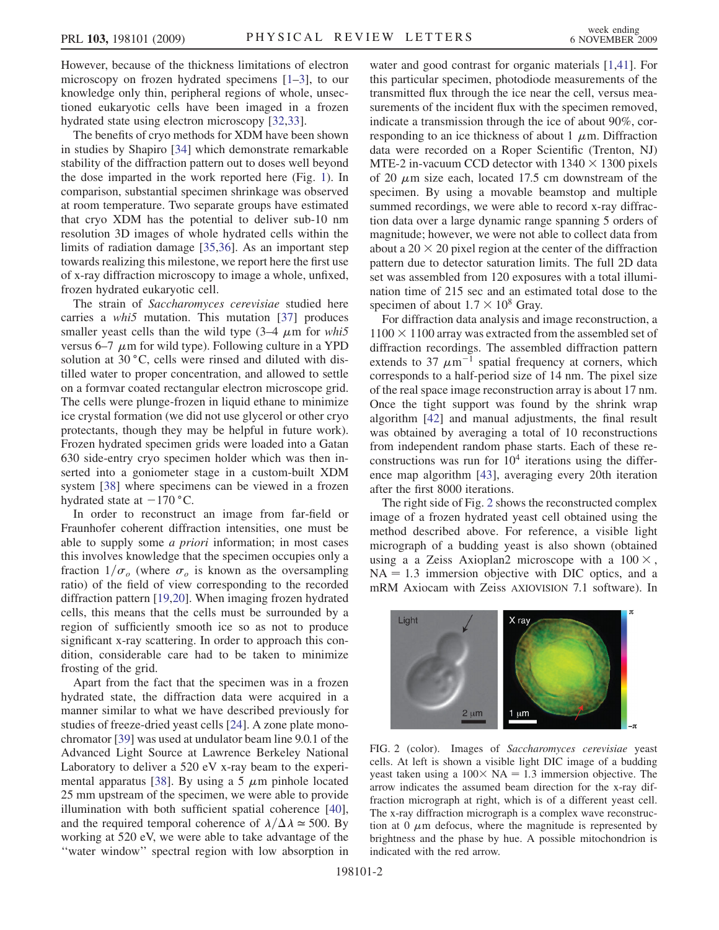However, because of the thickness limitations of electron microscopy on frozen hydrated specimens [\[1](#page-3-1)–[3\]](#page-3-2), to our knowledge only thin, peripheral regions of whole, unsectioned eukaryotic cells have been imaged in a frozen hydrated state using electron microscopy [[32](#page-3-27)[,33](#page-3-28)].

The benefits of cryo methods for XDM have been shown in studies by Shapiro [\[34](#page-3-26)] which demonstrate remarkable stability of the diffraction pattern out to doses well beyond the dose imparted in the work reported here (Fig. [1](#page-0-0)). In comparison, substantial specimen shrinkage was observed at room temperature. Two separate groups have estimated that cryo XDM has the potential to deliver sub-10 nm resolution 3D images of whole hydrated cells within the limits of radiation damage [\[35,](#page-3-29)[36\]](#page-3-30). As an important step towards realizing this milestone, we report here the first use of x-ray diffraction microscopy to image a whole, unfixed, frozen hydrated eukaryotic cell.

The strain of Saccharomyces cerevisiae studied here carries a whi5 mutation. This mutation [\[37\]](#page-3-31) produces smaller yeast cells than the wild type  $(3-4 \mu m)$  for whish versus 6–7  $\mu$ m for wild type). Following culture in a YPD solution at 30 °C, cells were rinsed and diluted with distilled water to proper concentration, and allowed to settle on a formvar coated rectangular electron microscope grid. The cells were plunge-frozen in liquid ethane to minimize ice crystal formation (we did not use glycerol or other cryo protectants, though they may be helpful in future work). Frozen hydrated specimen grids were loaded into a Gatan 630 side-entry cryo specimen holder which was then inserted into a goniometer stage in a custom-built XDM system [\[38\]](#page-3-32) where specimens can be viewed in a frozen hydrated state at  $-170$  °C.

In order to reconstruct an image from far-field or Fraunhofer coherent diffraction intensities, one must be able to supply some *a priori* information; in most cases this involves knowledge that the specimen occupies only a fraction  $1/\sigma_o$  (where  $\sigma_o$  is known as the oversampling ratio) of the field of view corresponding to the recorded diffraction pattern [[19](#page-3-14)[,20](#page-3-15)]. When imaging frozen hydrated cells, this means that the cells must be surrounded by a region of sufficiently smooth ice so as not to produce significant x-ray scattering. In order to approach this condition, considerable care had to be taken to minimize frosting of the grid.

Apart from the fact that the specimen was in a frozen hydrated state, the diffraction data were acquired in a manner similar to what we have described previously for studies of freeze-dried yeast cells [\[24\]](#page-3-19). A zone plate monochromator [[39](#page-3-33)] was used at undulator beam line 9.0.1 of the Advanced Light Source at Lawrence Berkeley National Laboratory to deliver a 520 eV x-ray beam to the experi-mental apparatus [[38](#page-3-32)]. By using a 5  $\mu$ m pinhole located 25 mm upstream of the specimen, we were able to provide illumination with both sufficient spatial coherence [[40\]](#page-3-34), and the required temporal coherence of  $\lambda/\Delta \lambda \approx 500$ . By working at 520 eV, we were able to take advantage of the ''water window'' spectral region with low absorption in water and good contrast for organic materials [[1,](#page-3-1)[41](#page-3-35)]. For this particular specimen, photodiode measurements of the transmitted flux through the ice near the cell, versus measurements of the incident flux with the specimen removed, indicate a transmission through the ice of about 90%, corresponding to an ice thickness of about 1  $\mu$ m. Diffraction data were recorded on a Roper Scientific (Trenton, NJ) MTE-2 in-vacuum CCD detector with  $1340 \times 1300$  pixels of 20  $\mu$ m size each, located 17.5 cm downstream of the specimen. By using a movable beamstop and multiple summed recordings, we were able to record x-ray diffraction data over a large dynamic range spanning 5 orders of magnitude; however, we were not able to collect data from about a  $20 \times 20$  pixel region at the center of the diffraction pattern due to detector saturation limits. The full 2D data set was assembled from 120 exposures with a total illumination time of 215 sec and an estimated total dose to the specimen of about  $1.7 \times 10^8$  Gray.

For diffraction data analysis and image reconstruction, a  $1100 \times 1100$  array was extracted from the assembled set of diffraction recordings. The assembled diffraction pattern extends to 37  $\mu$ m<sup>-1</sup> spatial frequency at corners, which corresponds to a half-period size of 14 nm. The pixel size of the real space image reconstruction array is about 17 nm. Once the tight support was found by the shrink wrap algorithm [\[42](#page-3-36)] and manual adjustments, the final result was obtained by averaging a total of 10 reconstructions from independent random phase starts. Each of these reconstructions was run for  $10<sup>4</sup>$  iterations using the difference map algorithm [\[43\]](#page-3-37), averaging every 20th iteration after the first 8000 iterations.

The right side of Fig. [2](#page-1-0) shows the reconstructed complex image of a frozen hydrated yeast cell obtained using the method described above. For reference, a visible light micrograph of a budding yeast is also shown (obtained using a a Zeiss Axioplan2 microscope with a  $100 \times$ ,  $NA = 1.3$  immersion objective with DIC optics, and a mRM Axiocam with Zeiss AXIOVISION 7.1 software). In

<span id="page-1-0"></span>

FIG. 2 (color). Images of Saccharomyces cerevisiae yeast cells. At left is shown a visible light DIC image of a budding yeast taken using a  $100 \times NA = 1.3$  immersion objective. The arrow indicates the assumed beam direction for the x-ray diffraction micrograph at right, which is of a different yeast cell. The x-ray diffraction micrograph is a complex wave reconstruction at 0  $\mu$ m defocus, where the magnitude is represented by brightness and the phase by hue. A possible mitochondrion is indicated with the red arrow.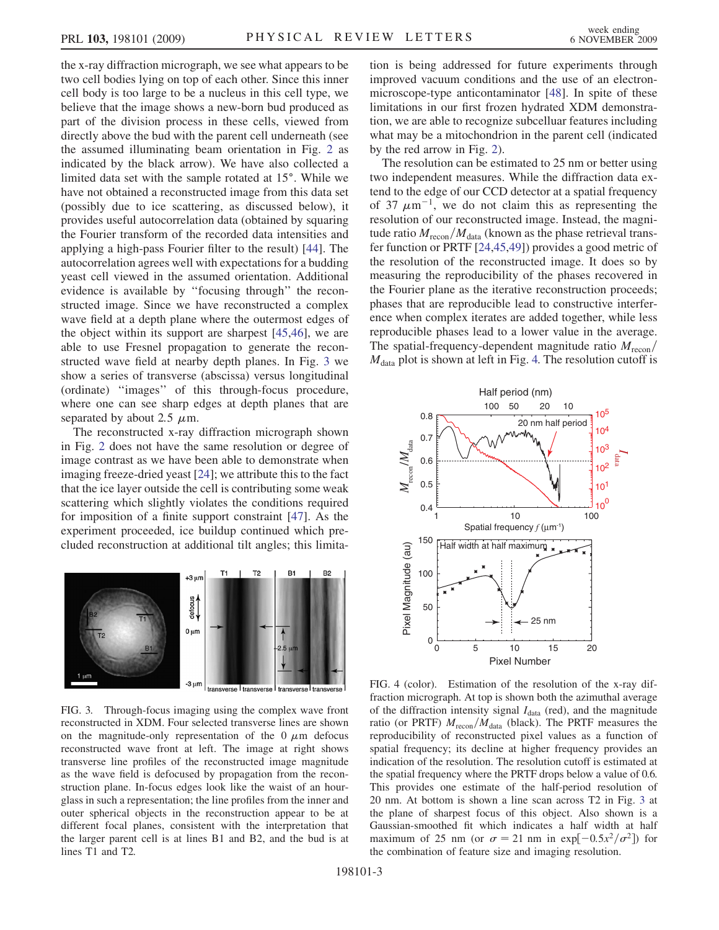the x-ray diffraction micrograph, we see what appears to be two cell bodies lying on top of each other. Since this inner cell body is too large to be a nucleus in this cell type, we believe that the image shows a new-born bud produced as part of the division process in these cells, viewed from directly above the bud with the parent cell underneath (see the assumed illuminating beam orientation in Fig. [2](#page-1-0) as indicated by the black arrow). We have also collected a limited data set with the sample rotated at 15°. While we have not obtained a reconstructed image from this data set (possibly due to ice scattering, as discussed below), it provides useful autocorrelation data (obtained by squaring the Fourier transform of the recorded data intensities and applying a high-pass Fourier filter to the result) [[44](#page-3-38)]. The autocorrelation agrees well with expectations for a budding yeast cell viewed in the assumed orientation. Additional evidence is available by ''focusing through'' the reconstructed image. Since we have reconstructed a complex wave field at a depth plane where the outermost edges of the object within its support are sharpest [\[45](#page-3-39)[,46\]](#page-3-40), we are able to use Fresnel propagation to generate the reconstructed wave field at nearby depth planes. In Fig. [3](#page-2-0) we show a series of transverse (abscissa) versus longitudinal (ordinate) ''images'' of this through-focus procedure, where one can see sharp edges at depth planes that are separated by about 2.5  $\mu$ m.

The reconstructed x-ray diffraction micrograph shown in Fig. [2](#page-1-0) does not have the same resolution or degree of image contrast as we have been able to demonstrate when imaging freeze-dried yeast [\[24\]](#page-3-19); we attribute this to the fact that the ice layer outside the cell is contributing some weak scattering which slightly violates the conditions required for imposition of a finite support constraint [\[47\]](#page-3-41). As the experiment proceeded, ice buildup continued which precluded reconstruction at additional tilt angles; this limita-

<span id="page-2-0"></span>

FIG. 3. Through-focus imaging using the complex wave front reconstructed in XDM. Four selected transverse lines are shown on the magnitude-only representation of the  $0 \mu m$  defocus reconstructed wave front at left. The image at right shows transverse line profiles of the reconstructed image magnitude as the wave field is defocused by propagation from the reconstruction plane. In-focus edges look like the waist of an hourglass in such a representation; the line profiles from the inner and outer spherical objects in the reconstruction appear to be at different focal planes, consistent with the interpretation that the larger parent cell is at lines B1 and B2, and the bud is at lines T1 and T2.

tion is being addressed for future experiments through improved vacuum conditions and the use of an electronmicroscope-type anticontaminator [[48](#page-3-42)]. In spite of these limitations in our first frozen hydrated XDM demonstration, we are able to recognize subcelluar features including what may be a mitochondrion in the parent cell (indicated by the red arrow in Fig. [2](#page-1-0)).

The resolution can be estimated to 25 nm or better using two independent measures. While the diffraction data extend to the edge of our CCD detector at a spatial frequency of 37  $\mu$ m<sup>-1</sup>, we do not claim this as representing the resolution of our reconstructed image. Instead, the magnitude ratio  $M_{\text{recon}}/M_{\text{data}}$  (known as the phase retrieval transfer function or PRTF [[24](#page-3-19),[45](#page-3-39),[49](#page-3-43)]) provides a good metric of the resolution of the reconstructed image. It does so by measuring the reproducibility of the phases recovered in the Fourier plane as the iterative reconstruction proceeds; phases that are reproducible lead to constructive interference when complex iterates are added together, while less reproducible phases lead to a lower value in the average. The spatial-frequency-dependent magnitude ratio  $M_{\text{recon}}/$  $M<sub>data</sub>$  plot is shown at left in Fig. [4.](#page-2-1) The resolution cutoff is

<span id="page-2-1"></span>

FIG. 4 (color). Estimation of the resolution of the x-ray diffraction micrograph. At top is shown both the azimuthal average of the diffraction intensity signal  $I_{data}$  (red), and the magnitude ratio (or PRTF)  $M_{\text{recon}}/M_{\text{data}}$  (black). The PRTF measures the reproducibility of reconstructed pixel values as a function of spatial frequency; its decline at higher frequency provides an indication of the resolution. The resolution cutoff is estimated at the spatial frequency where the PRTF drops below a value of 0.6. This provides one estimate of the half-period resolution of 20 nm. At bottom is shown a line scan across T2 in Fig. [3](#page-2-0) at the plane of sharpest focus of this object. Also shown is a Gaussian-smoothed fit which indicates a half width at half maximum of 25 nm (or  $\sigma = 21$  nm in exp[ $-0.5x^2/\sigma^2$ ]) for the combination of feature size and imaging resolution.